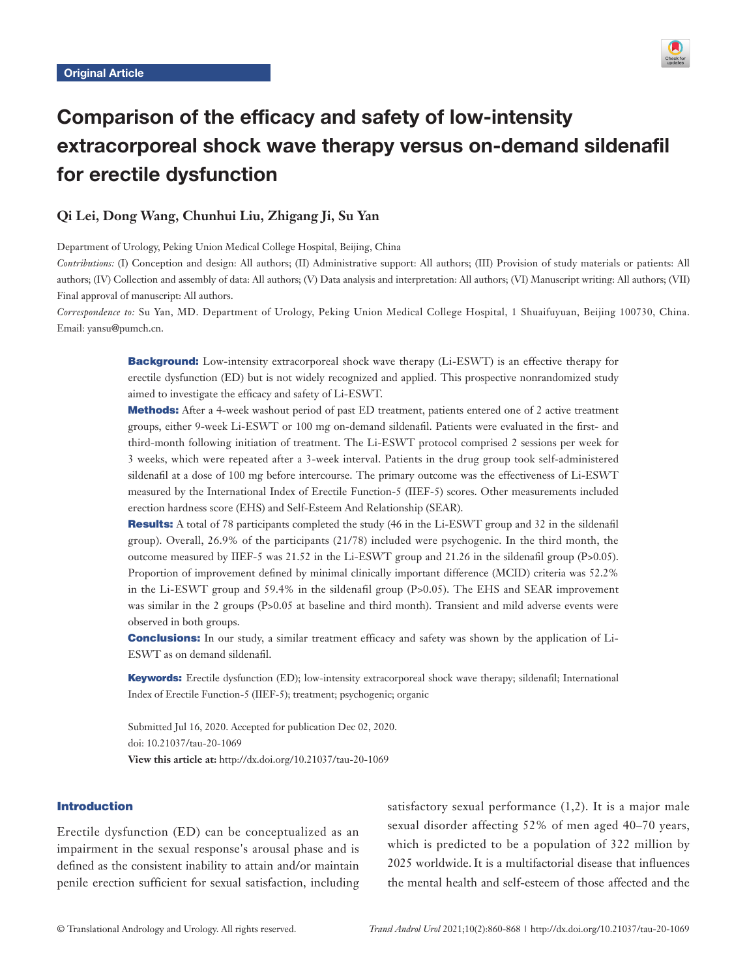

# Comparison of the efficacy and safety of low-intensity extracorporeal shock wave therapy versus on-demand sildenafil for erectile dysfunction

# **Qi Lei, Dong Wang, Chunhui Liu, Zhigang Ji, Su Yan**

Department of Urology, Peking Union Medical College Hospital, Beijing, China

*Contributions:* (I) Conception and design: All authors; (II) Administrative support: All authors; (III) Provision of study materials or patients: All authors; (IV) Collection and assembly of data: All authors; (V) Data analysis and interpretation: All authors; (VI) Manuscript writing: All authors; (VII) Final approval of manuscript: All authors.

*Correspondence to:* Su Yan, MD. Department of Urology, Peking Union Medical College Hospital, 1 Shuaifuyuan, Beijing 100730, China. Email: yansu@pumch.cn.

> **Background:** Low-intensity extracorporeal shock wave therapy (Li-ESWT) is an effective therapy for erectile dysfunction (ED) but is not widely recognized and applied. This prospective nonrandomized study aimed to investigate the efficacy and safety of Li-ESWT.

> Methods: After a 4-week washout period of past ED treatment, patients entered one of 2 active treatment groups, either 9-week Li-ESWT or 100 mg on-demand sildenafil. Patients were evaluated in the first- and third-month following initiation of treatment. The Li-ESWT protocol comprised 2 sessions per week for 3 weeks, which were repeated after a 3-week interval. Patients in the drug group took self-administered sildenafil at a dose of 100 mg before intercourse. The primary outcome was the effectiveness of Li-ESWT measured by the International Index of Erectile Function-5 (IIEF-5) scores. Other measurements included erection hardness score (EHS) and Self-Esteem And Relationship (SEAR).

> Results: A total of 78 participants completed the study (46 in the Li-ESWT group and 32 in the sildenafil group). Overall, 26.9% of the participants (21/78) included were psychogenic. In the third month, the outcome measured by IIEF-5 was 21.52 in the Li-ESWT group and 21.26 in the sildenafil group (P>0.05). Proportion of improvement defined by minimal clinically important difference (MCID) criteria was 52.2% in the Li-ESWT group and 59.4% in the sildenafil group (P>0.05). The EHS and SEAR improvement was similar in the 2 groups (P>0.05 at baseline and third month). Transient and mild adverse events were observed in both groups.

> Conclusions: In our study, a similar treatment efficacy and safety was shown by the application of Li-ESWT as on demand sildenafil.

> Keywords: Erectile dysfunction (ED); low-intensity extracorporeal shock wave therapy; sildenafil; International Index of Erectile Function-5 (IIEF-5); treatment; psychogenic; organic

Submitted Jul 16, 2020. Accepted for publication Dec 02, 2020. doi: 10.21037/tau-20-1069 **View this article at:** http://dx.doi.org/10.21037/tau-20-1069

# Introduction

Erectile dysfunction (ED) can be conceptualized as an impairment in the sexual response's arousal phase and is defined as the consistent inability to attain and/or maintain penile erection sufficient for sexual satisfaction, including satisfactory sexual performance (1,2). It is a major male sexual disorder affecting 52% of men aged 40–70 years, which is predicted to be a population of 322 million by 2025 worldwide.It is a multifactorial disease that influences the mental health and self-esteem of those affected and the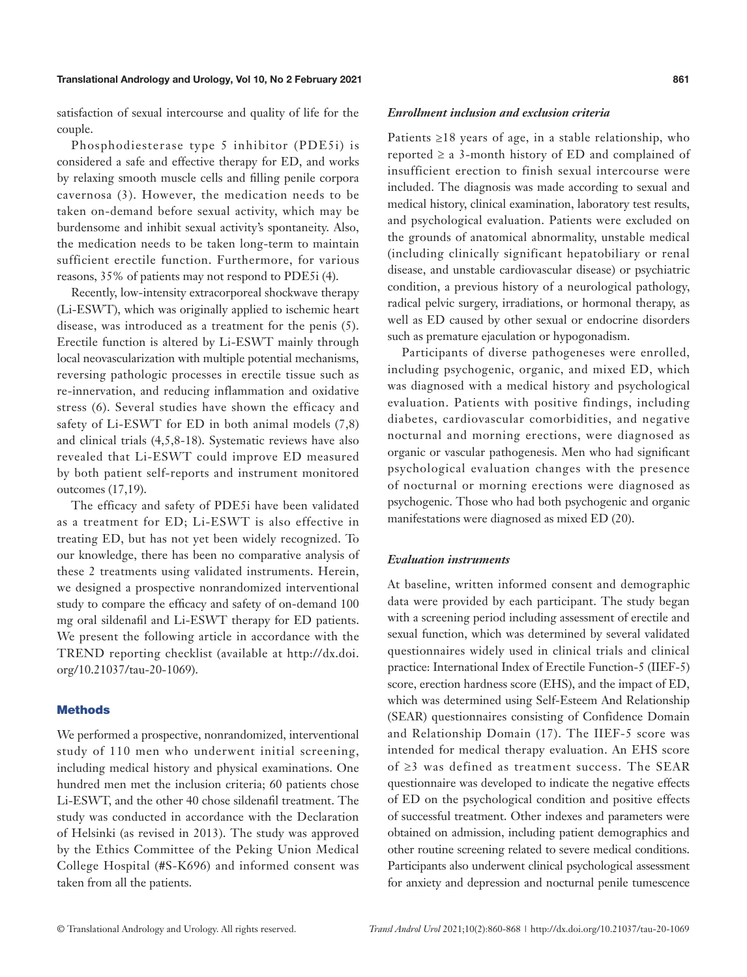satisfaction of sexual intercourse and quality of life for the couple.

Phosphodiesterase type 5 inhibitor (PDE5i) is considered a safe and effective therapy for ED, and works by relaxing smooth muscle cells and filling penile corpora cavernosa (3). However, the medication needs to be taken on-demand before sexual activity, which may be burdensome and inhibit sexual activity's spontaneity. Also, the medication needs to be taken long-term to maintain sufficient erectile function. Furthermore, for various reasons, 35% of patients may not respond to PDE5i (4).

Recently, low-intensity extracorporeal shockwave therapy (Li-ESWT), which was originally applied to ischemic heart disease, was introduced as a treatment for the penis (5). Erectile function is altered by Li-ESWT mainly through local neovascularization with multiple potential mechanisms, reversing pathologic processes in erectile tissue such as re-innervation, and reducing inflammation and oxidative stress (6). Several studies have shown the efficacy and safety of Li-ESWT for ED in both animal models (7,8) and clinical trials (4,5,8-18). Systematic reviews have also revealed that Li-ESWT could improve ED measured by both patient self-reports and instrument monitored outcomes (17,19).

The efficacy and safety of PDE5i have been validated as a treatment for ED; Li-ESWT is also effective in treating ED, but has not yet been widely recognized. To our knowledge, there has been no comparative analysis of these 2 treatments using validated instruments. Herein, we designed a prospective nonrandomized interventional study to compare the efficacy and safety of on-demand 100 mg oral sildenafil and Li-ESWT therapy for ED patients. We present the following article in accordance with the TREND reporting checklist (available at [http://dx.doi.](http://dx.doi.org/10.21037/tau-20-1069) [org/10.21037/tau-20-1069\)](http://dx.doi.org/10.21037/tau-20-1069).

# **Methods**

We performed a prospective, nonrandomized, interventional study of 110 men who underwent initial screening, including medical history and physical examinations. One hundred men met the inclusion criteria; 60 patients chose Li-ESWT, and the other 40 chose sildenafil treatment. The study was conducted in accordance with the Declaration of Helsinki (as revised in 2013). The study was approved by the Ethics Committee of the Peking Union Medical College Hospital (#S-K696) and informed consent was taken from all the patients.

#### *Enrollment inclusion and exclusion criteria*

Patients  $\geq 18$  years of age, in a stable relationship, who reported  $\geq a$  3-month history of ED and complained of insufficient erection to finish sexual intercourse were included. The diagnosis was made according to sexual and medical history, clinical examination, laboratory test results, and psychological evaluation. Patients were excluded on the grounds of anatomical abnormality, unstable medical (including clinically significant hepatobiliary or renal disease, and unstable cardiovascular disease) or psychiatric condition, a previous history of a neurological pathology, radical pelvic surgery, irradiations, or hormonal therapy, as well as ED caused by other sexual or endocrine disorders such as premature ejaculation or hypogonadism.

Participants of diverse pathogeneses were enrolled, including psychogenic, organic, and mixed ED, which was diagnosed with a medical history and psychological evaluation. Patients with positive findings, including diabetes, cardiovascular comorbidities, and negative nocturnal and morning erections, were diagnosed as organic or vascular pathogenesis. Men who had significant psychological evaluation changes with the presence of nocturnal or morning erections were diagnosed as psychogenic. Those who had both psychogenic and organic manifestations were diagnosed as mixed ED (20).

#### *Evaluation instruments*

At baseline, written informed consent and demographic data were provided by each participant. The study began with a screening period including assessment of erectile and sexual function, which was determined by several validated questionnaires widely used in clinical trials and clinical practice: International Index of Erectile Function-5 (IIEF-5) score, erection hardness score (EHS), and the impact of ED, which was determined using Self-Esteem And Relationship (SEAR) questionnaires consisting of Confidence Domain and Relationship Domain (17). The IIEF-5 score was intended for medical therapy evaluation. An EHS score of ≥3 was defined as treatment success. The SEAR questionnaire was developed to indicate the negative effects of ED on the psychological condition and positive effects of successful treatment. Other indexes and parameters were obtained on admission, including patient demographics and other routine screening related to severe medical conditions. Participants also underwent clinical psychological assessment for anxiety and depression and nocturnal penile tumescence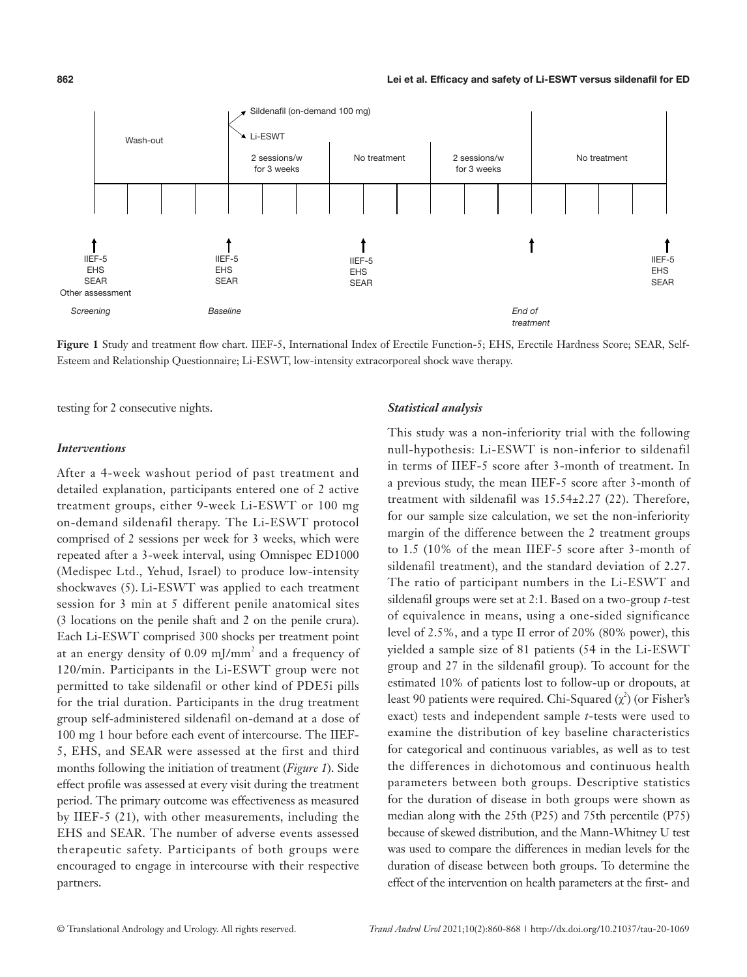

**Figure 1** Study and treatment flow chart. IIEF-5, International Index of Erectile Function-5; EHS, Erectile Hardness Score; SEAR, Self-Esteem and Relationship Questionnaire; Li-ESWT, low-intensity extracorporeal shock wave therapy.

testing for 2 consecutive nights.

#### *Interventions*

After a 4-week washout period of past treatment and detailed explanation, participants entered one of 2 active treatment groups, either 9-week Li-ESWT or 100 mg on-demand sildenafil therapy. The Li-ESWT protocol comprised of 2 sessions per week for 3 weeks, which were repeated after a 3-week interval, using Omnispec ED1000 (Medispec Ltd., Yehud, Israel) to produce low-intensity shockwaves (5). Li-ESWT was applied to each treatment session for 3 min at 5 different penile anatomical sites (3 locations on the penile shaft and 2 on the penile crura). Each Li-ESWT comprised 300 shocks per treatment point at an energy density of  $0.09 \text{ mJ/mm}^2$  and a frequency of 120/min. Participants in the Li-ESWT group were not permitted to take sildenafil or other kind of PDE5i pills for the trial duration. Participants in the drug treatment group self-administered sildenafil on-demand at a dose of 100 mg 1 hour before each event of intercourse. The IIEF-5, EHS, and SEAR were assessed at the first and third months following the initiation of treatment (*Figure 1*). Side effect profile was assessed at every visit during the treatment period. The primary outcome was effectiveness as measured by IIEF-5 (21), with other measurements, including the EHS and SEAR. The number of adverse events assessed therapeutic safety. Participants of both groups were encouraged to engage in intercourse with their respective partners.

# *Statistical analysis*

This study was a non-inferiority trial with the following null-hypothesis: Li-ESWT is non-inferior to sildenafil in terms of IIEF-5 score after 3-month of treatment. In a previous study, the mean IIEF-5 score after 3-month of treatment with sildenafil was 15.54±2.27 (22). Therefore, for our sample size calculation, we set the non-inferiority margin of the difference between the 2 treatment groups to 1.5 (10% of the mean IIEF-5 score after 3-month of sildenafil treatment), and the standard deviation of 2.27. The ratio of participant numbers in the Li-ESWT and sildenafil groups were set at 2:1. Based on a two-group *t*-test of equivalence in means, using a one-sided significance level of 2.5%, and a type II error of 20% (80% power), this yielded a sample size of 81 patients (54 in the Li-ESWT group and 27 in the sildenafil group). To account for the estimated 10% of patients lost to follow-up or dropouts, at least 90 patients were required. Chi-Squared  $(\chi^2)$  (or Fisher's exact) tests and independent sample *t*-tests were used to examine the distribution of key baseline characteristics for categorical and continuous variables, as well as to test the differences in dichotomous and continuous health parameters between both groups. Descriptive statistics for the duration of disease in both groups were shown as median along with the 25th (P25) and 75th percentile (P75) because of skewed distribution, and the Mann-Whitney U test was used to compare the differences in median levels for the duration of disease between both groups. To determine the effect of the intervention on health parameters at the first- and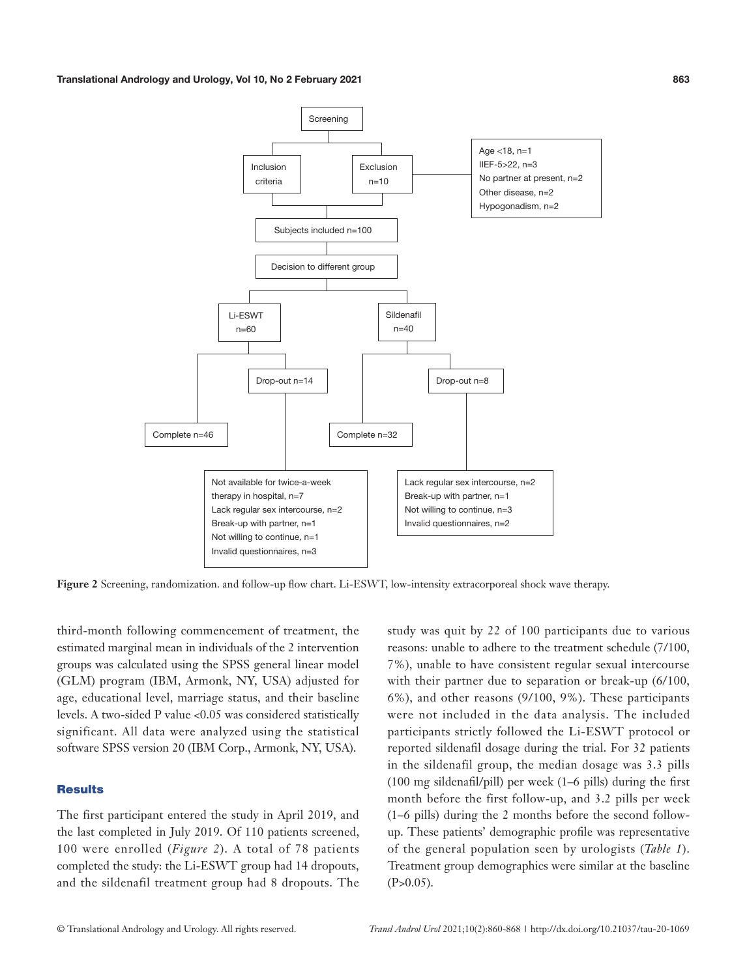Translational Andrology and Urology, Vol 10, No 2 February 2021 **863**



**Figure 2** Screening, randomization. and follow-up flow chart. Li-ESWT, low-intensity extracorporeal shock wave therapy.

third-month following commencement of treatment, the estimated marginal mean in individuals of the 2 intervention groups was calculated using the SPSS general linear model (GLM) program (IBM, Armonk, NY, USA) adjusted for age, educational level, marriage status, and their baseline levels. A two-sided P value <0.05 was considered statistically significant. All data were analyzed using the statistical software SPSS version 20 (IBM Corp., Armonk, NY, USA).

## **Results**

The first participant entered the study in April 2019, and the last completed in July 2019. Of 110 patients screened, 100 were enrolled (*Figure 2*). A total of 78 patients completed the study: the Li-ESWT group had 14 dropouts, and the sildenafil treatment group had 8 dropouts. The

study was quit by 22 of 100 participants due to various reasons: unable to adhere to the treatment schedule (7/100, 7%), unable to have consistent regular sexual intercourse with their partner due to separation or break-up (6/100, 6%), and other reasons (9/100, 9%). These participants were not included in the data analysis. The included participants strictly followed the Li-ESWT protocol or reported sildenafil dosage during the trial. For 32 patients in the sildenafil group, the median dosage was 3.3 pills (100 mg sildenafil/pill) per week (1–6 pills) during the first month before the first follow-up, and 3.2 pills per week (1–6 pills) during the 2 months before the second followup. These patients' demographic profile was representative of the general population seen by urologists (*Table 1*). Treatment group demographics were similar at the baseline  $(P>0.05)$ .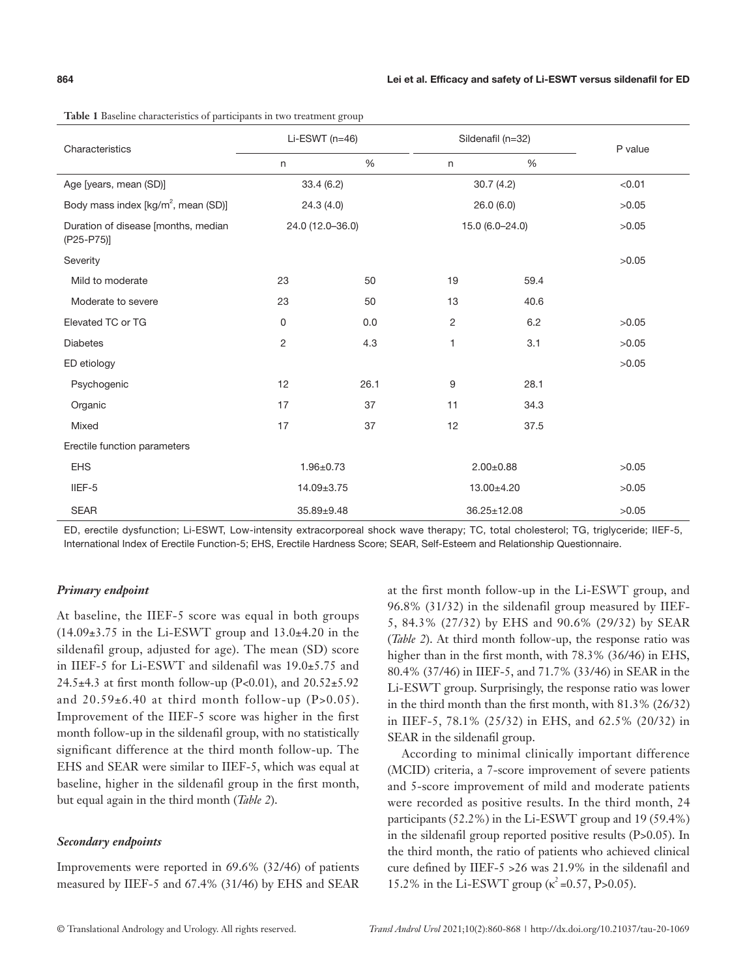| Characteristics                                   | Li-ESWT $(n=46)$ |      | Sildenafil (n=32) |               | P value |
|---------------------------------------------------|------------------|------|-------------------|---------------|---------|
|                                                   | $\mathsf{n}$     | $\%$ | $\mathsf{n}$      | $\frac{0}{0}$ |         |
| Age [years, mean (SD)]                            | 33.4(6.2)        |      | 30.7(4.2)         |               | < 0.01  |
| Body mass index [kg/m <sup>2</sup> , mean (SD)]   | 24.3(4.0)        |      | 26.0(6.0)         |               | >0.05   |
| Duration of disease [months, median<br>(P25-P75)] | 24.0 (12.0-36.0) |      | 15.0 (6.0-24.0)   |               | >0.05   |
| Severity                                          |                  |      |                   |               | >0.05   |
| Mild to moderate                                  | 23               | 50   | 19                | 59.4          |         |
| Moderate to severe                                | 23               | 50   | 13                | 40.6          |         |
| Elevated TC or TG                                 | 0                | 0.0  | 2                 | 6.2           | >0.05   |
| <b>Diabetes</b>                                   | $\overline{c}$   | 4.3  | 1                 | 3.1           | >0.05   |
| ED etiology                                       |                  |      |                   |               | >0.05   |
| Psychogenic                                       | 12               | 26.1 | 9                 | 28.1          |         |
| Organic                                           | 17               | 37   | 11                | 34.3          |         |
| Mixed                                             | 17               | 37   | 12                | 37.5          |         |
| Erectile function parameters                      |                  |      |                   |               |         |
| <b>EHS</b>                                        | $1.96 + 0.73$    |      | $2.00+0.88$       |               | >0.05   |
| IIEF-5                                            | 14.09±3.75       |      | 13.00±4.20        |               | >0.05   |
| <b>SEAR</b>                                       | 35.89±9.48       |      |                   | 36.25±12.08   | >0.05   |

**Table 1** Baseline characteristics of participants in two treatment group

ED, erectile dysfunction; Li-ESWT, Low-intensity extracorporeal shock wave therapy; TC, total cholesterol; TG, triglyceride; IIEF-5, International Index of Erectile Function-5; EHS, Erectile Hardness Score; SEAR, Self-Esteem and Relationship Questionnaire.

#### *Primary endpoint*

At baseline, the IIEF-5 score was equal in both groups  $(14.09\pm3.75)$  in the Li-ESWT group and  $13.0\pm4.20$  in the sildenafil group, adjusted for age). The mean (SD) score in IIEF-5 for Li-ESWT and sildenafil was 19.0±5.75 and 24.5 $\pm$ 4.3 at first month follow-up (P<0.01), and 20.52 $\pm$ 5.92 and  $20.59\pm6.40$  at third month follow-up (P>0.05). Improvement of the IIEF-5 score was higher in the first month follow-up in the sildenafil group, with no statistically significant difference at the third month follow-up. The EHS and SEAR were similar to IIEF-5, which was equal at baseline, higher in the sildenafil group in the first month, but equal again in the third month (*Table 2*).

#### *Secondary endpoints*

Improvements were reported in 69.6% (32/46) of patients measured by IIEF-5 and 67.4% (31/46) by EHS and SEAR at the first month follow-up in the Li-ESWT group, and 96.8% (31/32) in the sildenafil group measured by IIEF-5, 84.3% (27/32) by EHS and 90.6% (29/32) by SEAR (*Table 2*). At third month follow-up, the response ratio was higher than in the first month, with 78.3% (36/46) in EHS, 80.4% (37/46) in IIEF-5, and 71.7% (33/46) in SEAR in the Li-ESWT group. Surprisingly, the response ratio was lower in the third month than the first month, with 81.3% (26/32) in IIEF-5, 78.1% (25/32) in EHS, and 62.5% (20/32) in SEAR in the sildenafil group.

According to minimal clinically important difference (MCID) criteria, a 7-score improvement of severe patients and 5-score improvement of mild and moderate patients were recorded as positive results. In the third month, 24 participants (52.2%) in the Li-ESWT group and 19 (59.4%) in the sildenafil group reported positive results (P>0.05). In the third month, the ratio of patients who achieved clinical cure defined by IIEF-5 >26 was 21.9% in the sildenafil and 15.2% in the Li-ESWT group ( $\kappa^2$  =0.57, P>0.05).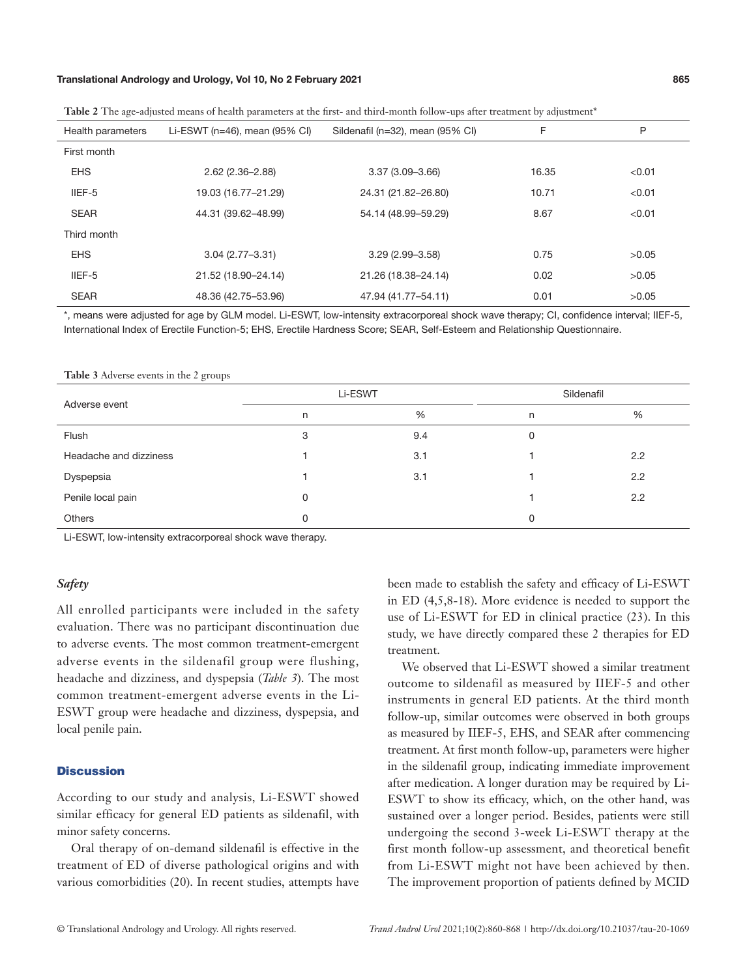#### Translational Andrology and Urology, Vol 10, No 2 February 2021 **865**

| Health parameters | Li-ESWT ( $n=46$ ), mean (95% CI) | Sildenafil (n=32), mean (95% CI) | F     | Ρ      |
|-------------------|-----------------------------------|----------------------------------|-------|--------|
| First month       |                                   |                                  |       |        |
| <b>EHS</b>        | $2.62(2.36 - 2.88)$               | $3.37(3.09 - 3.66)$              | 16.35 | < 0.01 |
| IIEF-5            | 19.03 (16.77-21.29)               | 24.31 (21.82-26.80)              | 10.71 | < 0.01 |
| <b>SEAR</b>       | 44.31 (39.62-48.99)               | 54.14 (48.99-59.29)              | 8.67  | < 0.01 |
| Third month       |                                   |                                  |       |        |
| <b>EHS</b>        | $3.04(2.77 - 3.31)$               | $3.29(2.99 - 3.58)$              | 0.75  | >0.05  |
| IIEF-5            | 21.52 (18.90-24.14)               | 21.26 (18.38-24.14)              | 0.02  | >0.05  |
| <b>SEAR</b>       | 48.36 (42.75-53.96)               | 47.94 (41.77-54.11)              | 0.01  | >0.05  |

Table 2 The age-adjusted means of health parameters at the first- and third-month follow-ups after treatment by adjustment<sup>\*</sup>

\*, means were adjusted for age by GLM model. Li-ESWT, low-intensity extracorporeal shock wave therapy; CI, confidence interval; IIEF-5, International Index of Erectile Function-5; EHS, Erectile Hardness Score; SEAR, Self-Esteem and Relationship Questionnaire.

| Adverse event          | Li-ESWT |     | Sildenafil |     |  |
|------------------------|---------|-----|------------|-----|--|
|                        | n       | %   | n          | %   |  |
| Flush                  | 3       | 9.4 | 0          |     |  |
| Headache and dizziness |         | 3.1 |            | 2.2 |  |
| Dyspepsia              |         | 3.1 |            | 2.2 |  |
| Penile local pain      | 0       |     |            | 2.2 |  |
| <b>Others</b>          | 0       |     | 0          |     |  |

**Table 3** Adverse events in the 2 groups

Li-ESWT, low-intensity extracorporeal shock wave therapy.

# *Safety*

All enrolled participants were included in the safety evaluation. There was no participant discontinuation due to adverse events. The most common treatment-emergent adverse events in the sildenafil group were flushing, headache and dizziness, and dyspepsia (*Table 3*). The most common treatment-emergent adverse events in the Li-ESWT group were headache and dizziness, dyspepsia, and local penile pain.

#### **Discussion**

According to our study and analysis, Li-ESWT showed similar efficacy for general ED patients as sildenafil, with minor safety concerns.

Oral therapy of on-demand sildenafil is effective in the treatment of ED of diverse pathological origins and with various comorbidities (20). In recent studies, attempts have been made to establish the safety and efficacy of Li-ESWT in ED (4,5,8-18). More evidence is needed to support the use of Li-ESWT for ED in clinical practice (23). In this study, we have directly compared these 2 therapies for ED treatment.

We observed that Li-ESWT showed a similar treatment outcome to sildenafil as measured by IIEF-5 and other instruments in general ED patients. At the third month follow-up, similar outcomes were observed in both groups as measured by IIEF-5, EHS, and SEAR after commencing treatment. At first month follow-up, parameters were higher in the sildenafil group, indicating immediate improvement after medication. A longer duration may be required by Li-ESWT to show its efficacy, which, on the other hand, was sustained over a longer period. Besides, patients were still undergoing the second 3-week Li-ESWT therapy at the first month follow-up assessment, and theoretical benefit from Li-ESWT might not have been achieved by then. The improvement proportion of patients defined by MCID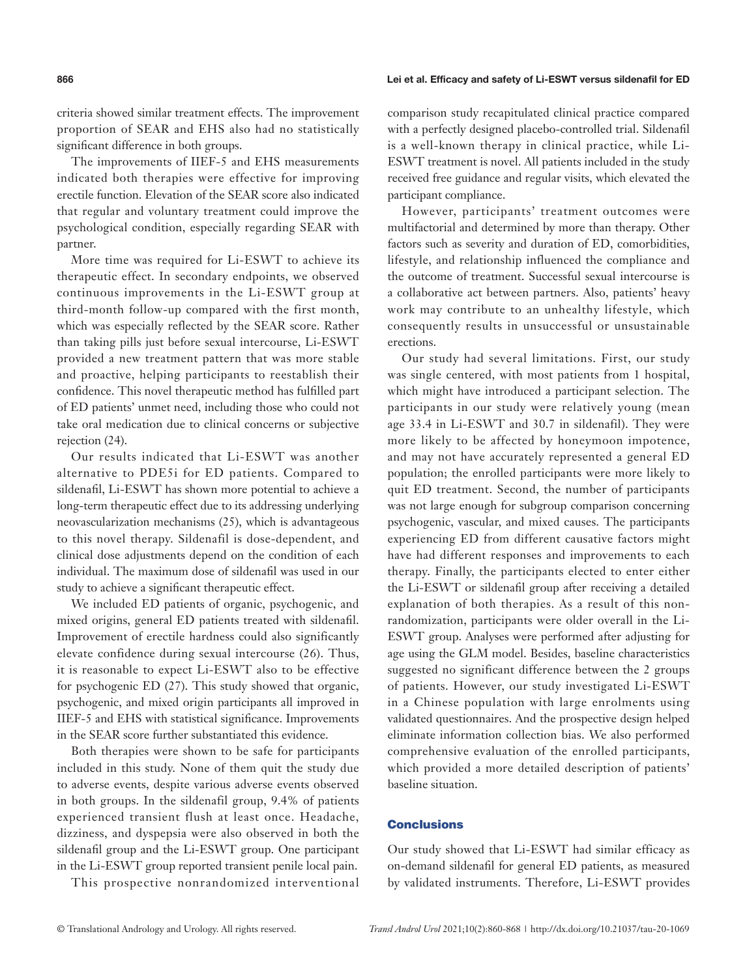#### **866** Lei et al. Efficacy and safety of Li-ESWT versus sildenafil for ED

criteria showed similar treatment effects. The improvement proportion of SEAR and EHS also had no statistically significant difference in both groups.

The improvements of IIEF-5 and EHS measurements indicated both therapies were effective for improving erectile function. Elevation of the SEAR score also indicated that regular and voluntary treatment could improve the psychological condition, especially regarding SEAR with partner.

More time was required for Li-ESWT to achieve its therapeutic effect. In secondary endpoints, we observed continuous improvements in the Li-ESWT group at third-month follow-up compared with the first month, which was especially reflected by the SEAR score. Rather than taking pills just before sexual intercourse, Li-ESWT provided a new treatment pattern that was more stable and proactive, helping participants to reestablish their confidence. This novel therapeutic method has fulfilled part of ED patients' unmet need, including those who could not take oral medication due to clinical concerns or subjective rejection (24).

Our results indicated that Li-ESWT was another alternative to PDE5i for ED patients. Compared to sildenafil, Li-ESWT has shown more potential to achieve a long-term therapeutic effect due to its addressing underlying neovascularization mechanisms (25), which is advantageous to this novel therapy. Sildenafil is dose-dependent, and clinical dose adjustments depend on the condition of each individual. The maximum dose of sildenafil was used in our study to achieve a significant therapeutic effect.

We included ED patients of organic, psychogenic, and mixed origins, general ED patients treated with sildenafil. Improvement of erectile hardness could also significantly elevate confidence during sexual intercourse (26). Thus, it is reasonable to expect Li-ESWT also to be effective for psychogenic ED (27). This study showed that organic, psychogenic, and mixed origin participants all improved in IIEF-5 and EHS with statistical significance. Improvements in the SEAR score further substantiated this evidence.

Both therapies were shown to be safe for participants included in this study. None of them quit the study due to adverse events, despite various adverse events observed in both groups. In the sildenafil group, 9.4% of patients experienced transient flush at least once. Headache, dizziness, and dyspepsia were also observed in both the sildenafil group and the Li-ESWT group. One participant in the Li-ESWT group reported transient penile local pain.

This prospective nonrandomized interventional

comparison study recapitulated clinical practice compared with a perfectly designed placebo-controlled trial. Sildenafil is a well-known therapy in clinical practice, while Li-ESWT treatment is novel. All patients included in the study received free guidance and regular visits, which elevated the participant compliance.

However, participants' treatment outcomes were multifactorial and determined by more than therapy. Other factors such as severity and duration of ED, comorbidities, lifestyle, and relationship influenced the compliance and the outcome of treatment. Successful sexual intercourse is a collaborative act between partners. Also, patients' heavy work may contribute to an unhealthy lifestyle, which consequently results in unsuccessful or unsustainable erections.

Our study had several limitations. First, our study was single centered, with most patients from 1 hospital, which might have introduced a participant selection. The participants in our study were relatively young (mean age 33.4 in Li-ESWT and 30.7 in sildenafil). They were more likely to be affected by honeymoon impotence, and may not have accurately represented a general ED population; the enrolled participants were more likely to quit ED treatment. Second, the number of participants was not large enough for subgroup comparison concerning psychogenic, vascular, and mixed causes. The participants experiencing ED from different causative factors might have had different responses and improvements to each therapy. Finally, the participants elected to enter either the Li-ESWT or sildenafil group after receiving a detailed explanation of both therapies. As a result of this nonrandomization, participants were older overall in the Li-ESWT group. Analyses were performed after adjusting for age using the GLM model. Besides, baseline characteristics suggested no significant difference between the 2 groups of patients. However, our study investigated Li-ESWT in a Chinese population with large enrolments using validated questionnaires. And the prospective design helped eliminate information collection bias. We also performed comprehensive evaluation of the enrolled participants, which provided a more detailed description of patients' baseline situation.

# **Conclusions**

Our study showed that Li-ESWT had similar efficacy as on-demand sildenafil for general ED patients, as measured by validated instruments. Therefore, Li-ESWT provides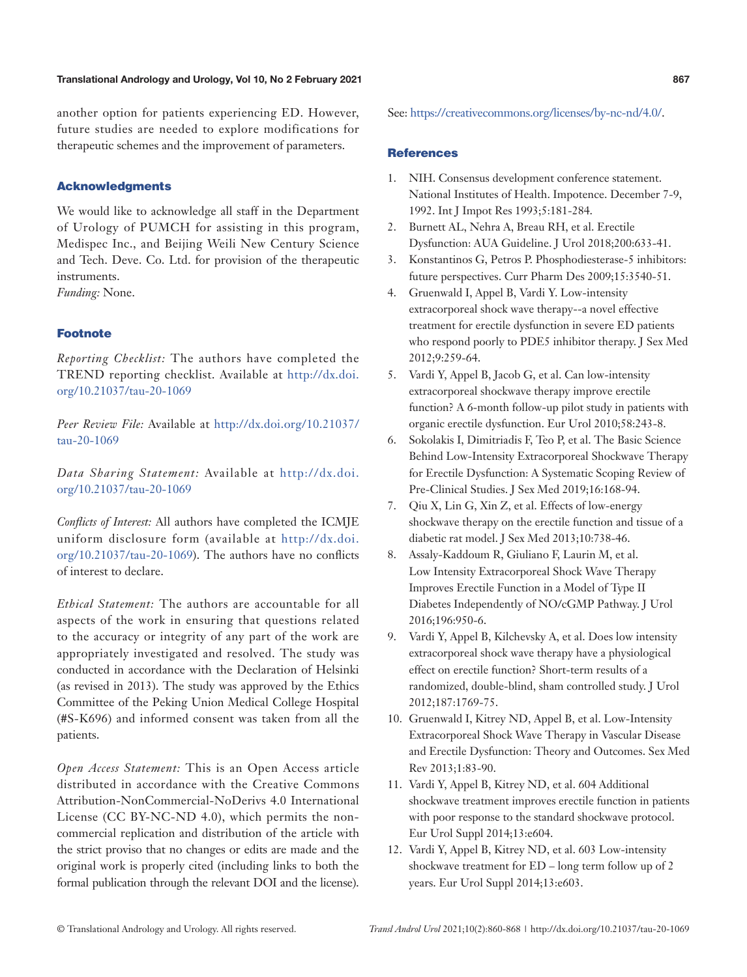#### Translational Andrology and Urology, Vol 10, No 2 February 2021 **867**

another option for patients experiencing ED. However, future studies are needed to explore modifications for therapeutic schemes and the improvement of parameters.

## Acknowledgments

We would like to acknowledge all staff in the Department of Urology of PUMCH for assisting in this program, Medispec Inc., and Beijing Weili New Century Science and Tech. Deve. Co. Ltd. for provision of the therapeutic instruments.

*Funding:* None.

#### Footnote

*Reporting Checklist:* The authors have completed the TREND reporting checklist. Available at [http://dx.doi.](http://dx.doi.org/10.21037/tau-20-1069) [org/10.21037/tau-20-1069](http://dx.doi.org/10.21037/tau-20-1069)

*Peer Review File:* Available at [http://dx.doi.org/10.21037/](http://dx.doi.org/10.21037/tau-20-1069) [tau-20-1069](http://dx.doi.org/10.21037/tau-20-1069)

*Data Sharing Statement:* Available at http://dx.doi. org/10.21037/tau-20-1069

*Conflicts of Interest:* All authors have completed the ICMJE uniform disclosure form (available at http://dx.doi. org/10.21037/tau-20-1069). The authors have no conflicts of interest to declare.

*Ethical Statement:* The authors are accountable for all aspects of the work in ensuring that questions related to the accuracy or integrity of any part of the work are appropriately investigated and resolved. The study was conducted in accordance with the Declaration of Helsinki (as revised in 2013). The study was approved by the Ethics Committee of the Peking Union Medical College Hospital (#S-K696) and informed consent was taken from all the patients.

*Open Access Statement:* This is an Open Access article distributed in accordance with the Creative Commons Attribution-NonCommercial-NoDerivs 4.0 International License (CC BY-NC-ND 4.0), which permits the noncommercial replication and distribution of the article with the strict proviso that no changes or edits are made and the original work is properly cited (including links to both the formal publication through the relevant DOI and the license).

See: [https://creativecommons.org/licenses/by-nc-nd/4.0/.](https://creativecommons.org/licenses/by-nc-nd/4.0/)

#### **References**

- 1. NIH. Consensus development conference statement. National Institutes of Health. Impotence. December 7-9, 1992. Int J Impot Res 1993;5:181-284.
- 2. Burnett AL, Nehra A, Breau RH, et al. Erectile Dysfunction: AUA Guideline. J Urol 2018;200:633-41.
- 3. Konstantinos G, Petros P. Phosphodiesterase-5 inhibitors: future perspectives. Curr Pharm Des 2009;15:3540-51.
- 4. Gruenwald I, Appel B, Vardi Y. Low-intensity extracorporeal shock wave therapy--a novel effective treatment for erectile dysfunction in severe ED patients who respond poorly to PDE5 inhibitor therapy. J Sex Med 2012;9:259-64.
- 5. Vardi Y, Appel B, Jacob G, et al. Can low-intensity extracorporeal shockwave therapy improve erectile function? A 6-month follow-up pilot study in patients with organic erectile dysfunction. Eur Urol 2010;58:243-8.
- 6. Sokolakis I, Dimitriadis F, Teo P, et al. The Basic Science Behind Low-Intensity Extracorporeal Shockwave Therapy for Erectile Dysfunction: A Systematic Scoping Review of Pre-Clinical Studies. J Sex Med 2019;16:168-94.
- 7. Qiu X, Lin G, Xin Z, et al. Effects of low-energy shockwave therapy on the erectile function and tissue of a diabetic rat model. J Sex Med 2013;10:738-46.
- 8. Assaly-Kaddoum R, Giuliano F, Laurin M, et al. Low Intensity Extracorporeal Shock Wave Therapy Improves Erectile Function in a Model of Type II Diabetes Independently of NO/cGMP Pathway. J Urol 2016;196:950-6.
- 9. Vardi Y, Appel B, Kilchevsky A, et al. Does low intensity extracorporeal shock wave therapy have a physiological effect on erectile function? Short-term results of a randomized, double-blind, sham controlled study. J Urol 2012;187:1769-75.
- 10. Gruenwald I, Kitrey ND, Appel B, et al. Low-Intensity Extracorporeal Shock Wave Therapy in Vascular Disease and Erectile Dysfunction: Theory and Outcomes. Sex Med Rev 2013;1:83-90.
- 11. Vardi Y, Appel B, Kitrey ND, et al. 604 Additional shockwave treatment improves erectile function in patients with poor response to the standard shockwave protocol. Eur Urol Suppl 2014;13:e604.
- 12. Vardi Y, Appel B, Kitrey ND, et al. 603 Low-intensity shockwave treatment for ED – long term follow up of 2 years. Eur Urol Suppl 2014;13:e603.